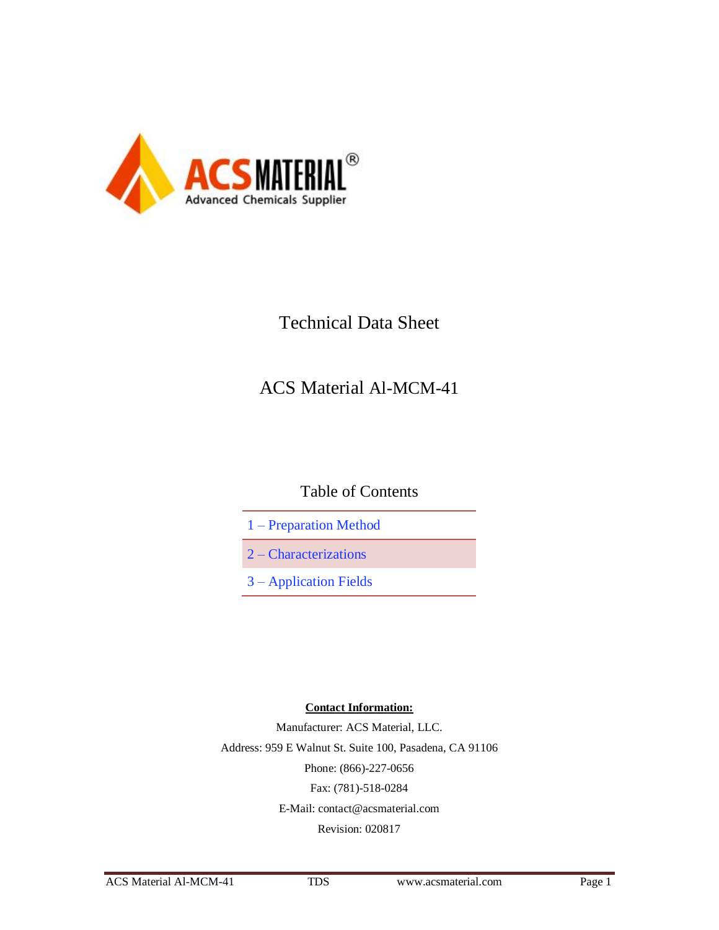

# Technical Data Sheet

# ACS Material Al-MCM-41

## Table of Contents

- 1 Preparation Method
- 2 Characterizations
- 3 Application Fields

#### **Contact Information:**

Manufacturer: ACS Material, LLC. Address: 959 E Walnut St. Suite 100, Pasadena, CA 91106 Phone: (866)-227-0656 Fax: (781)-518-0284 E-Mail: [contact@acsmaterial.com](mailto:contact@acsmaterial.com) Revision: 020817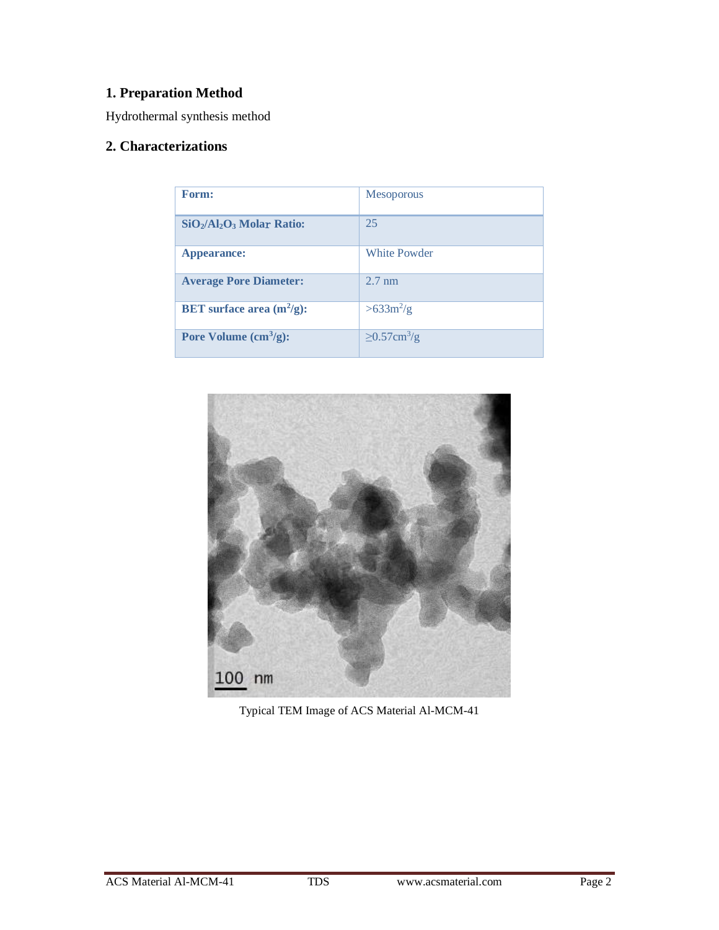### **1. Preparation Method**

Hydrothermal synthesis method

### **2. Characterizations**

| Form:                               | <b>Mesoporous</b>             |
|-------------------------------------|-------------------------------|
| $SiO_2/Al_2O_3$ Molar Ratio:        | 25                            |
| Appearance:                         | <b>White Powder</b>           |
| <b>Average Pore Diameter:</b>       | $2.7 \text{ nm}$              |
| <b>BET</b> surface area $(m^2/g)$ : | $>633 m^2/g$                  |
| Pore Volume $(cm3/g):$              | $\geq$ 0.57cm <sup>3</sup> /g |



Typical TEM Image of ACS Material Al-MCM-41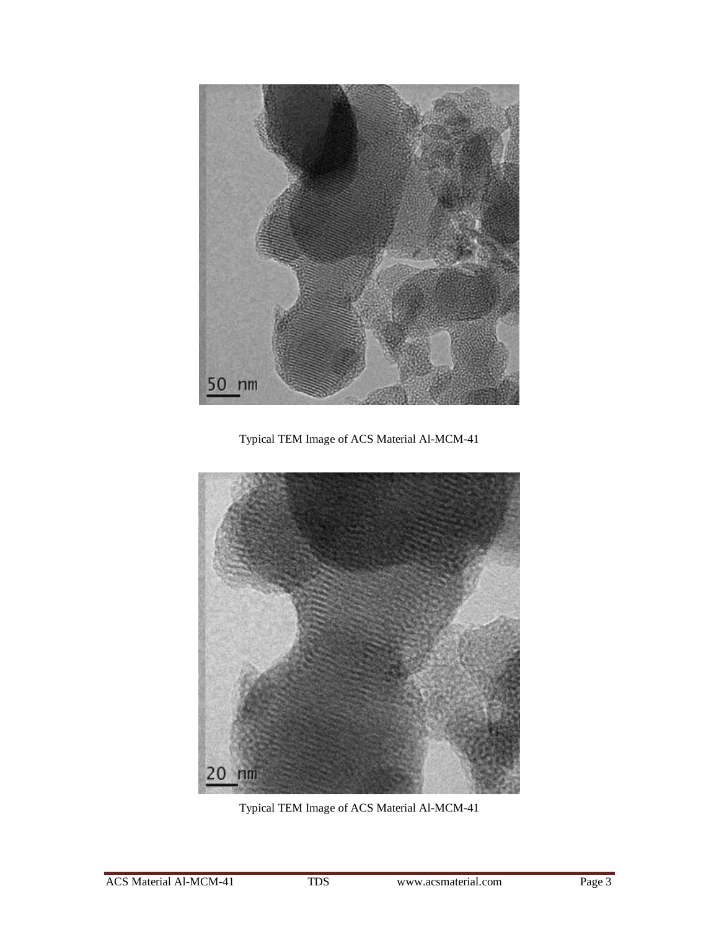

Typical TEM Image of ACS Material Al-MCM-41



Typical TEM Image of ACS Material Al-MCM-41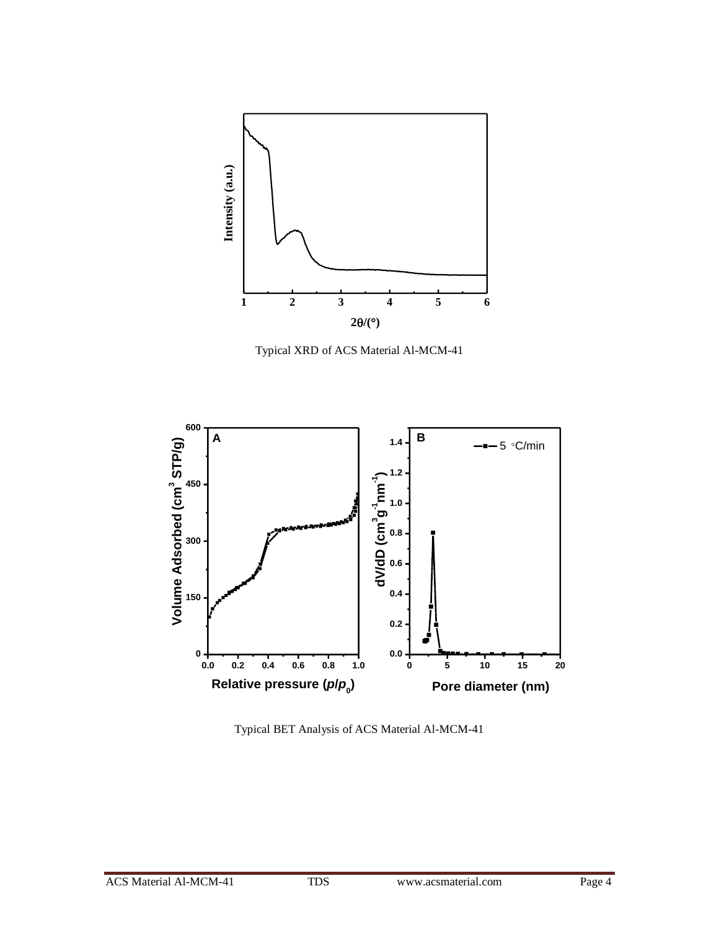

Typical XRD of ACS Material Al-MCM-41



Typical BET Analysis of ACS Material Al-MCM-41